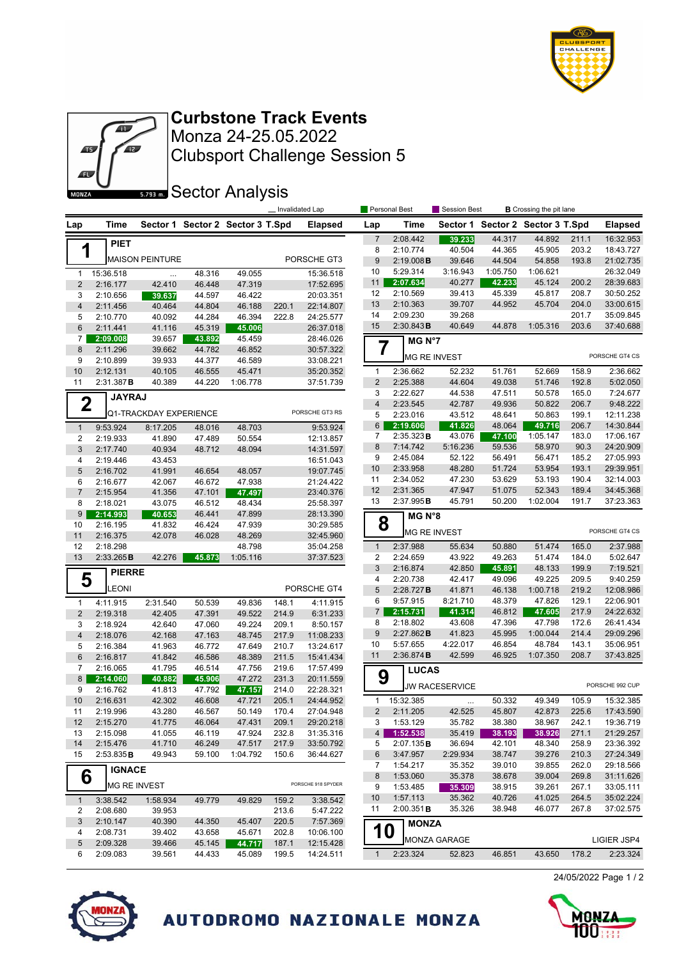



Clubsport Challenge Session 5 Monza 24-25.05.2022 **Curbstone Track Events**

**Sector Analysis** 

|                         |                      |                        |                  |                                  | Invalidated Lap |                        |                | <b>Personal Best</b>  | Session Best          |                                  | <b>B</b> Crossing the pit lane |                |                        |
|-------------------------|----------------------|------------------------|------------------|----------------------------------|-----------------|------------------------|----------------|-----------------------|-----------------------|----------------------------------|--------------------------------|----------------|------------------------|
| Lap                     | Time                 |                        |                  | Sector 1 Sector 2 Sector 3 T.Spd |                 | <b>Elapsed</b>         | Lap            | Time                  |                       | Sector 1 Sector 2 Sector 3 T.Spd |                                |                | <b>Elapsed</b>         |
|                         | <b>PIET</b>          |                        |                  |                                  |                 |                        | $\overline{7}$ | 2:08.442              | 39.233                | 44.317                           | 44.892                         | 211.1          | 16:32.953              |
| 1                       |                      |                        |                  |                                  |                 |                        | 8              | 2:10.774              | 40.504                | 44.365                           | 45.905                         | 203.2          | 18:43.727              |
|                         |                      | <b>MAISON PEINTURE</b> |                  |                                  |                 | PORSCHE GT3            | 9              | 2:19.008B             | 39.646                | 44.504                           | 54.858                         | 193.8          | 21:02.735              |
| $\mathbf{1}$            | 15:36.518            | $\ddotsc$              | 48.316           | 49.055                           |                 | 15:36.518              | 10             | 5:29.314              | 3:16.943              | 1:05.750                         | 1:06.621                       |                | 26:32.049              |
| $\overline{2}$          | 2:16.177             | 42.410                 | 46.448           | 47.319                           |                 | 17:52.695              | 11             | 2:07.634              | 40.277                | 42.233                           | 45.124                         | 200.2          | 28:39.683              |
| 3                       | 2:10.656             | 39.637                 | 44.597           | 46.422                           |                 | 20:03.351              | 12             | 2:10.569              | 39.413                | 45.339                           | 45.817                         | 208.7          | 30:50.252              |
| $\overline{\mathbf{4}}$ | 2:11.456             | 40.464                 | 44.804           | 46.188                           | 220.1           | 22:14.807              | 13             | 2:10.363              | 39.707                | 44.952                           | 45.704                         | 204.0          | 33:00.615              |
| 5                       | 2:10.770             | 40.092                 | 44.284           | 46.394                           | 222.8           | 24:25.577              | 14             | 2:09.230              | 39.268                |                                  |                                | 201.7          | 35:09.845              |
| $\,6\,$                 | 2:11.441             | 41.116                 | 45.319           | 45.006                           |                 | 26:37.018              | 15             | 2:30.843B             | 40.649                | 44.878                           | 1:05.316                       | 203.6          | 37:40.688              |
| $7\overline{ }$         | 2:09.008             | 39.657                 | 43.892           | 45.459                           |                 | 28:46.026              |                | MG N°7                |                       |                                  |                                |                |                        |
| 8                       | 2:11.296             | 39.662                 | 44.782           | 46.852                           |                 | 30:57.322              | 7              | <b>MG RE INVEST</b>   |                       |                                  |                                |                | PORSCHE GT4 CS         |
| 9                       | 2:10.899             | 39.933                 | 44.377           | 46.589                           |                 | 33:08.221              |                |                       |                       |                                  |                                |                |                        |
| 10                      | 2:12.131             | 40.105                 | 46.555           | 45.471                           |                 | 35:20.352              | 1              | 2:36.662              | 52.232                | 51.761                           | 52.669                         | 158.9          | 2:36.662               |
| 11                      | 2:31.387 <b>B</b>    | 40.389                 | 44.220           | 1:06.778                         |                 | 37:51.739              | $\overline{c}$ | 2:25.388              | 44.604                | 49.038                           | 51.746                         | 192.8          | 5:02.050               |
|                         | <b>JAYRAJ</b>        |                        |                  |                                  |                 |                        | 3              | 2:22.627              | 44.538                | 47.511                           | 50.578                         | 165.0          | 7:24.677               |
| $\mathbf 2$             |                      | Q1-TRACKDAY EXPERIENCE |                  |                                  |                 | PORSCHE GT3 RS         | 4              | 2:23.545              | 42.787                | 49.936                           | 50.822                         | 206.7          | 9:48.222               |
|                         |                      |                        |                  |                                  |                 |                        | 5              | 2:23.016              | 43.512                | 48.641                           | 50.863                         | 199.1          | 12:11.238              |
| $\mathbf{1}$            | 9:53.924             | 8:17.205               | 48.016           | 48.703                           |                 | 9:53.924               | 6              | 2:19.606              | 41.826                | 48.064                           | 49.716                         | 206.7          | 14:30.844              |
| $\overline{2}$          | 2:19.933             | 41.890                 | 47.489           | 50.554                           |                 | 12:13.857              | 7<br>8         | 2:35.323B<br>7:14.742 | 43.076<br>5:16.236    | 47.100<br>59.536                 | 1:05.147<br>58.970             | 183.0<br>90.3  | 17:06.167<br>24:20.909 |
| 3                       | 2:17.740             | 40.934                 | 48.712           | 48.094                           |                 | 14:31.597              | 9              | 2:45.084              | 52.122                | 56.491                           | 56.471                         | 185.2          | 27:05.993              |
| $\overline{4}$          | 2:19.446             | 43.453                 |                  |                                  |                 | 16:51.043              | 10             | 2:33.958              | 48.280                | 51.724                           | 53.954                         | 193.1          | 29:39.951              |
| 5                       | 2:16.702             | 41.991                 | 46.654           | 48.057                           |                 | 19:07.745              | 11             | 2:34.052              | 47.230                | 53.629                           | 53.193                         | 190.4          | 32:14.003              |
| 6<br>$\overline{7}$     | 2:16.677             | 42.067<br>41.356       | 46.672           | 47.938                           |                 | 21:24.422              | 12             | 2:31.365              | 47.947                | 51.075                           | 52.343                         | 189.4          | 34:45.368              |
| 8                       | 2:15.954<br>2:18.021 | 43.075                 | 47.101<br>46.512 | 47.497<br>48.434                 |                 | 23:40.376<br>25:58.397 | 13             | 2:37.995B             | 45.791                | 50.200                           | 1:02.004                       | 191.7          | 37:23.363              |
| 9                       | 2:14.993             | 40.653                 | 46.441           | 47.899                           |                 | 28:13.390              |                |                       |                       |                                  |                                |                |                        |
| 10                      | 2:16.195             | 41.832                 | 46.424           | 47.939                           |                 | 30:29.585              | 8              | MG N°8                |                       |                                  |                                |                |                        |
| 11                      | 2:16.375             | 42.078                 | 46.028           | 48.269                           |                 | 32:45.960              |                | <b>MG RE INVEST</b>   |                       |                                  |                                |                | PORSCHE GT4 CS         |
| 12                      | 2:18.298             |                        |                  | 48.798                           |                 | 35:04.258              | $\mathbf{1}$   | 2:37.988              | 55.634                | 50.880                           | 51.474                         | 165.0          | 2:37.988               |
| 13                      | 2:33.265B            | 42.276                 | 45.873           | 1:05.116                         |                 | 37:37.523              | 2              | 2:24.659              | 43.922                | 49.263                           | 51.474                         | 184.0          | 5:02.647               |
|                         | <b>PIERRE</b>        |                        |                  |                                  |                 |                        | 3              | 2:16.874              | 42.850                | 45.891                           | 48.133                         | 199.9          | 7:19.521               |
| 5                       |                      |                        |                  |                                  |                 |                        | 4              | 2:20.738              | 42.417                | 49.096                           | 49.225                         | 209.5          | 9:40.259               |
|                         | <b>EONI</b>          |                        |                  |                                  |                 | PORSCHE GT4            | 5              | 2:28.727B             | 41.871                | 46.138                           | 1:00.718                       | 219.2          | 12:08.986              |
| $\mathbf{1}$            | 4:11.915             | 2:31.540               | 50.539           | 49.836                           | 148.1           | 4:11.915               | 6              | 9:57.915              | 8:21.710              | 48.379                           | 47.826                         | 129.1          | 22:06.901              |
| $\overline{2}$          | 2:19.318             | 42.405                 | 47.391           | 49.522                           | 214.9           | 6:31.233               | $\overline{7}$ | 2:15.731              | 41.314                | 46.812                           | 47.605                         | 217.9          | 24:22.632              |
| 3                       | 2:18.924             | 42.640                 | 47.060           | 49.224                           | 209.1           | 8:50.157               | 8              | 2:18.802              | 43.608                | 47.396                           | 47.798                         | 172.6          | 26:41.434              |
| $\overline{\mathbf{4}}$ | 2:18.076             | 42.168                 | 47.163           | 48.745                           | 217.9           | 11:08.233              | 9              | 2:27.862B             | 41.823                | 45.995                           | 1:00.044                       | 214.4          | 29:09.296              |
| 5                       | 2:16.384             | 41.963                 | 46.772           | 47.649                           | 210.7           | 13:24.617              | 10             | 5:57.655              | 4:22.017              | 46.854                           | 48.784                         | 143.1          | 35:06.951              |
| $6\phantom{1}6$         | 2:16.817             | 41.842                 | 46.586           | 48.389                           | 211.5           | 15:41.434              | 11             | 2:36.874B             | 42.599                | 46.925                           | 1:07.350                       | 208.7          | 37:43.825              |
| $\boldsymbol{7}$        | 2:16.065             | 41.795                 | 46.514           | 47.756                           | 219.6           | 17:57.499              |                | <b>LUCAS</b>          |                       |                                  |                                |                |                        |
| 8                       | 2:14.060             | 40.882                 | 45.906           | 47.272                           | 231.3           | 20:11.559              | 9              |                       | <b>JW RACESERVICE</b> |                                  |                                |                | PORSCHE 992 CUP        |
| 9                       | 2:16.762             | 41.813                 | 47.792           | 47.157                           | 214.0           | 22:28.321              |                |                       |                       |                                  |                                |                |                        |
| 10                      | 2:16.631             | 42.302                 | 46.608           | 47.721                           | 205.1           | 24:44.952              | $\mathbf{1}$   | 15:32.385             | $\cdots$              | 50.332                           | 49.349                         | 105.9          | 15:32.385              |
| 11                      | 2:19.996             | 43.280                 | 46.567           | 50.149                           | 170.4           | 27:04.948              | $\overline{2}$ | 2:11.205              | 42.525                | 45.807                           | 42.873                         | 225.6          | 17:43.590              |
| 12                      | 2:15.270             | 41.775                 | 46.064           | 47.431                           | 209.1           | 29:20.218              | 3              | 1:53.129              | 35.782                | 38.380                           | 38.967                         | 242.1          | 19:36.719              |
| 13                      | 2:15.098             | 41.055                 | 46.119           | 47.924                           | 232.8           | 31:35.316              | 4              | 1:52.538              | 35.419                | 38.193                           | 38.926                         | 271.1          | 21:29.257              |
| 14                      | 2:15.476             | 41.710                 | 46.249           | 47.517                           | 217.9           | 33:50.792              | 5              | 2:07.135B             | 36.694                | 42.101                           | 48.340                         | 258.9          | 23:36.392              |
| 15                      | 2:53.835 <b>B</b>    | 49.943                 | 59.100           | 1:04.792                         | 150.6           | 36:44.627              | 6              | 3:47.957              | 2:29.934              | 38.747                           | 39.276                         | 210.3          | 27:24.349              |
|                         | <b>IGNACE</b>        |                        |                  |                                  |                 |                        | 7              | 1:54.217<br>1:53.060  | 35.352<br>35.378      | 39.010<br>38.678                 | 39.855                         | 262.0<br>269.8 | 29:18.566              |
| 6                       |                      | MG RE INVEST           |                  |                                  |                 | PORSCHE 918 SPYDER     | 8<br>9         | 1:53.485              | 35.309                | 38.915                           | 39.004<br>39.261               | 267.1          | 31:11.626<br>33:05.111 |
|                         |                      |                        |                  |                                  |                 |                        | 10             | 1:57.113              | 35.362                | 40.726                           | 41.025                         | 264.5          | 35:02.224              |
| $\mathbf{1}$            | 3:38.542             | 1:58.934               | 49.779           | 49.829                           | 159.2           | 3:38.542               | 11             | 2:00.351B             | 35.326                | 38.948                           | 46.077                         | 267.8          | 37:02.575              |
| $\overline{2}$<br>3     | 2:08.680             | 39.953                 |                  |                                  | 213.6           | 5:47.222               |                |                       |                       |                                  |                                |                |                        |
| 4                       | 2:10.147<br>2:08.731 | 40.390<br>39.402       | 44.350<br>43.658 | 45.407<br>45.671                 | 220.5<br>202.8  | 7:57.369<br>10:06.100  | <b>10</b>      | <b>MONZA</b>          |                       |                                  |                                |                |                        |
| 5                       | 2:09.328             | 39.466                 | 45.145           | 44.717                           | 187.1           | 12:15.428              |                |                       | <b>MONZA GARAGE</b>   |                                  |                                |                | LIGIER JSP4            |
| 6                       | 2:09.083             | 39.561                 | 44.433           | 45.089                           | 199.5           | 14:24.511              | 1              | 2:23.324              | 52.823                | 46.851                           | 43.650                         | 178.2          | 2:23.324               |
|                         |                      |                        |                  |                                  |                 |                        |                |                       |                       |                                  |                                |                |                        |







AUTODROMO NAZIONALE MONZA